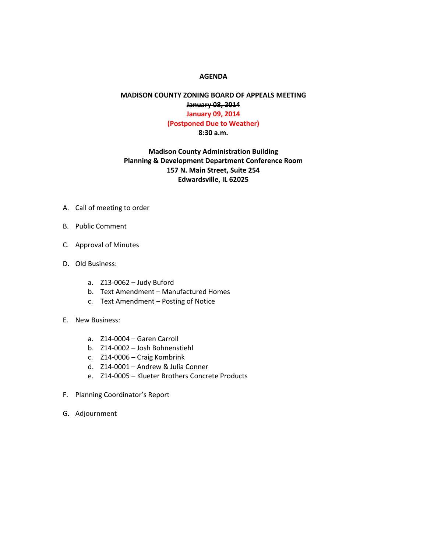## **AGENDA**

## **MADISON COUNTY ZONING BOARD OF APPEALS MEETING January 08, 2014 January 09, 2014 (Postponed Due to Weather) 8:30 a.m.**

## **Madison County Administration Building Planning & Development Department Conference Room 157 N. Main Street, Suite 254 Edwardsville, IL 62025**

- A. Call of meeting to order
- B. Public Comment
- C. Approval of Minutes
- D. Old Business:
	- a. Z13-0062 Judy Buford
	- b. Text Amendment Manufactured Homes
	- c. Text Amendment Posting of Notice
- E. New Business:
	- a. Z14-0004 Garen Carroll
	- b. Z14-0002 Josh Bohnenstiehl
	- c. Z14-0006 Craig Kombrink
	- d. Z14-0001 Andrew & Julia Conner
	- e. Z14-0005 Klueter Brothers Concrete Products
- F. Planning Coordinator's Report
- G. Adjournment